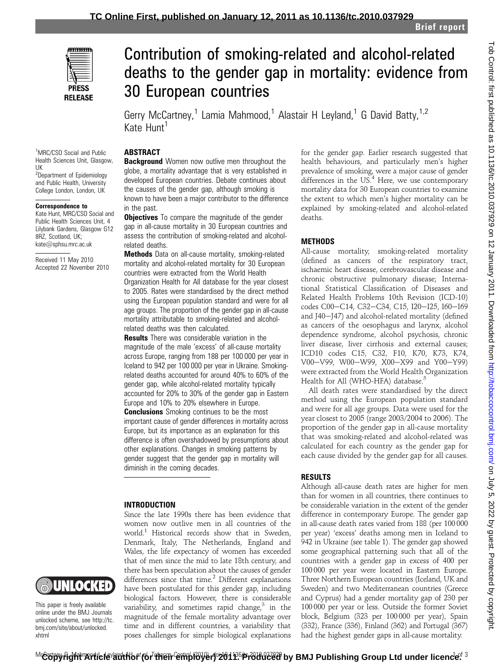

# Contribution of smoking-related and alcohol-related deaths to the gender gap in mortality: evidence from 30 European countries

Gerry McCartney,<sup>1</sup> Lamia Mahmood,<sup>1</sup> Alastair H Leyland,<sup>1</sup> G David Batty,<sup>1,2</sup> Kate Hunt<sup>1</sup>

#### 1 MRC/CSO Social and Public Health Sciences Unit, Glasgow, UK

<sup>2</sup>Department of Epidemiology and Public Health, University College London, London, UK

#### Correspondence to

Kate Hunt, MRC/CSO Social and Public Health Sciences Unit, 4 Lilybank Gardens, Glasgow G12 8RZ, Scotland, UK; kate@sphsu.mrc.ac.uk

Received 11 May 2010 Accepted 22 November 2010

# ABSTRACT

**Background** Women now outlive men throughout the globe, a mortality advantage that is very established in developed European countries. Debate continues about the causes of the gender gap, although smoking is known to have been a major contributor to the difference in the nast.

**Objectives** To compare the magnitude of the gender gap in all-cause mortality in 30 European countries and assess the contribution of smoking-related and alcoholrelated deaths.

**Methods** Data on all-cause mortality, smoking-related mortality and alcohol-related mortality for 30 European countries were extracted from the World Health Organization Health for All database for the year closest to 2005. Rates were standardised by the direct method using the European population standard and were for all age groups. The proportion of the gender gap in all-cause mortality attributable to smoking-related and alcoholrelated deaths was then calculated.

**Results** There was considerable variation in the magnitude of the male 'excess' of all-cause mortality across Europe, ranging from 188 per 100 000 per year in Iceland to 942 per 100 000 per year in Ukraine. Smokingrelated deaths accounted for around 40% to 60% of the gender gap, while alcohol-related mortality typically accounted for 20% to 30% of the gender gap in Eastern Europe and 10% to 20% elsewhere in Europe.

**Conclusions** Smoking continues to be the most important cause of gender differences in mortality across Europe, but its importance as an explanation for this difference is often overshadowed by presumptions about other explanations. Changes in smoking patterns by gender suggest that the gender gap in mortality will diminish in the coming decades.

## INTRODUCTION

UNIOCKED

This paper is freely available online under the BMJ Journals unlocked scheme, see http://tc. bmj.com/site/about/unlocked. xhtml

## Since the late 1990s there has been evidence that women now outlive men in all countries of the world.1 Historical records show that in Sweden, Denmark, Italy, The Netherlands, England and Wales, the life expectancy of women has exceeded that of men since the mid to late 18th century, and there has been speculation about the causes of gender differences since that time. $2$  Different explanations have been postulated for this gender gap, including biological factors. However, there is considerable variability, and sometimes rapid change, $3$  in the magnitude of the female mortality advantage over time and in different countries, a variability that

poses challenges for simple biological explanations

for the gender gap. Earlier research suggested that health behaviours, and particularly men's higher prevalence of smoking, were a major cause of gender differences in the US.<sup>4</sup> Here, we use contemporary mortality data for 30 European countries to examine the extent to which men's higher mortality can be explained by smoking-related and alcohol-related deaths.

# **METHODS**

All-cause mortality, smoking-related mortality (defined as cancers of the respiratory tract, ischaemic heart disease, cerebrovascular disease and chronic obstructive pulmonary disease; International Statistical Classification of Diseases and Related Health Problems 10th Revision (ICD-10) codes C00-C14, C32-C34, C15, I20-I25, I60-I69 and J40-J47) and alcohol-related mortality (defined as cancers of the oesophagus and larynx, alcohol dependence syndrome, alcohol psychosis, chronic liver disease, liver cirrhosis and external causes; ICD10 codes C15, C32, F10, K70, K73, K74, V00-V99, W00-W99, X00-X99 and Y00-Y99) were extracted from the World Health Organization Health for All (WHO-HFA) database.<sup>5</sup>

All death rates were standardised by the direct method using the European population standard and were for all age groups. Data were used for the year closest to 2005 (range 2003/2004 to 2006). The proportion of the gender gap in all-cause mortality that was smoking-related and alcohol-related was calculated for each country as the gender gap for each cause divided by the gender gap for all causes.

# RESULTS

Although all-cause death rates are higher for men than for women in all countries, there continues to be considerable variation in the extent of the gender difference in contemporary Europe. The gender gap in all-cause death rates varied from 188 (per 100 000 per year) 'excess' deaths among men in Iceland to 942 in Ukraine (see table 1). The gender gap showed some geographical patterning such that all of the countries with a gender gap in excess of 400 per 100 000 per year were located in Eastern Europe. Three Northern European countries (Iceland, UK and Sweden) and two Mediterranean countries (Greece and Cyprus) had a gender mortality gap of 230 per 100 000 per year or less. Outside the former Soviet block, Belgium (323 per 100 000 per year), Spain (332), France (336), Finland (362) and Portugal (367) had the highest gender gaps in all-cause mortality.

<sup>Mc</sup>&bpyright Article author (or their employer) 2011. Produced by BMJ Publishing Group Ltd under licence<sup>r 3</sup> "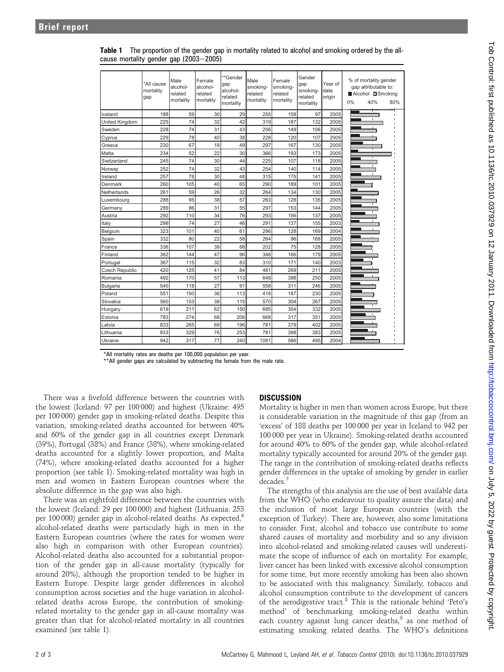|                       | *All cause<br>mortalitv<br>gap | Male<br>alcohol-<br>related<br>mortality | Female<br>alcohol-<br>related<br>mortalitv | **Gender<br>gap<br>alcohol-<br>related<br>mortality | Male<br>smoking-<br>related<br>mortalitv | Female<br>smoking-<br>related<br>mortality | Gender<br>gap<br>smokina-<br>related<br>mortality | Year of<br>data<br>origin | 0% | % of mortality gender<br>gap attributable to:<br>■Alcohol ■Smoking<br>40% | 80% |
|-----------------------|--------------------------------|------------------------------------------|--------------------------------------------|-----------------------------------------------------|------------------------------------------|--------------------------------------------|---------------------------------------------------|---------------------------|----|---------------------------------------------------------------------------|-----|
| Iceland               | 188                            | 59                                       | 30                                         | 29                                                  | 255                                      | 158                                        | 97                                                | 2005                      |    |                                                                           |     |
| United Kingdom        | 225                            | 74                                       | 32                                         | 42                                                  | 319                                      | 187                                        | 132                                               | 2005                      |    | $\mathbf{I}$                                                              |     |
| Sweden                | 228                            | 74                                       | 31                                         | 43                                                  | 256                                      | 149                                        | 106                                               | 2005                      |    |                                                                           |     |
| Cyprus                | 229                            | 78                                       | 40                                         | 38                                                  | 228                                      | 120                                        | 107                                               | 2005                      |    |                                                                           |     |
| Greece                | 230                            | 67                                       | 18                                         | 49                                                  | 297                                      | 167                                        | 130                                               | 2005                      |    |                                                                           |     |
| Malta                 | 234                            | 52                                       | 22                                         | 30                                                  | 366                                      | 193                                        | 173                                               | 2005                      |    |                                                                           |     |
| Switzerland           | 245                            | 74                                       | 30                                         | 44                                                  | 225                                      | 107                                        | 118                                               | 2005                      |    |                                                                           |     |
| Norway                | 252                            | 74                                       | 32                                         | 43                                                  | 254                                      | 140                                        | 114                                               | 2005                      |    |                                                                           |     |
| Ireland               | 257                            | 78                                       | 30                                         | 48                                                  | 315                                      | 175                                        | 141                                               | 2005                      |    |                                                                           |     |
| Denmark               | 260                            | 105                                      | 40                                         | 65                                                  | 290                                      | 189                                        | 101                                               | 2005                      |    |                                                                           |     |
| Netherlands           | 261                            | 59                                       | 26                                         | 32                                                  | 264                                      | 134                                        | 130                                               | 2005                      |    |                                                                           |     |
| Luxembourg            | 288                            | 95                                       | 38                                         | 57                                                  | 263                                      | 128                                        | 135                                               | 2005                      |    |                                                                           |     |
| Germany               | 289                            | 86                                       | 31                                         | 55                                                  | 297                                      | 153                                        | 144                                               | 2005                      |    |                                                                           |     |
| Austria               | 292                            | 110                                      | 34                                         | 76                                                  | 293                                      | 156                                        | 137                                               | 2005                      |    |                                                                           |     |
| Italy                 | 299                            | 74                                       | 27                                         | 46                                                  | 291                                      | 137                                        | 155                                               | 2003                      |    |                                                                           |     |
| Belgium               | 323                            | 101                                      | 40                                         | 61                                                  | 296                                      | 128                                        | 169                                               | 2004                      |    |                                                                           |     |
| Spain                 | 332                            | 80                                       | 22                                         | 58                                                  | 264                                      | 96                                         | 168                                               | 2005                      |    |                                                                           |     |
| France                | 336                            | 107                                      | 39                                         | 68                                                  | 202                                      | 75                                         | 128                                               | 2005                      |    |                                                                           |     |
| Finland               | 362                            | 144                                      | 47                                         | 96                                                  | 346                                      | 166                                        | 179                                               | 2005                      |    |                                                                           |     |
| Portugal              | 367                            | 115                                      | 32                                         | 83                                                  | 310                                      | 171                                        | 140                                               | 2003                      |    |                                                                           |     |
| <b>Czech Republic</b> | 420                            | 125                                      | 41                                         | 84                                                  | 481                                      | 269                                        | 211                                               | 2005                      |    |                                                                           |     |
| Romania               | 492                            | 170                                      | 57                                         | 113                                                 | 648                                      | 398                                        | 250                                               | 2005                      |    |                                                                           |     |
| Bulgaria              | 540                            | 118                                      | 27                                         | 91                                                  | 558                                      | 311                                        | 246                                               | 2005                      |    |                                                                           |     |
| Poland                | 551                            | 150                                      | 36                                         | 113                                                 | 418                                      | 187                                        | 230                                               | 2005                      |    |                                                                           |     |
| Slovakia              | 560                            | 153                                      | 38                                         | 115                                                 | 570                                      | 304                                        | 267                                               | 2005                      |    |                                                                           |     |
| Hungary               | 619                            | 211                                      | 62                                         | 150                                                 | 685                                      | 354                                        | 332                                               | 2005                      |    |                                                                           |     |
| Estonia               | 783                            | 274                                      | 68                                         | 206                                                 | 668                                      | 317                                        | 351                                               | 2005                      |    |                                                                           |     |
| Latvia                | 833                            | 265                                      | 69                                         | 196                                                 | 781                                      | 379                                        | 402                                               | 2005                      |    |                                                                           |     |
| Lithuania             | 833                            | 329                                      | 76                                         | 253                                                 | 781                                      | 398                                        | 383                                               | 2005                      |    |                                                                           |     |
| Ukraine               | 942                            | 317                                      | 77                                         | 240                                                 | 1081                                     | 586                                        | 495                                               | 2004                      |    |                                                                           |     |

Table 1 The proportion of the gender gap in mortality related to alcohol and smoking ordered by the allcause mortality gender gap  $(2003-2005)$ 

\*All mortality rates are deaths per 100,000 population per year.

\*\*All gender gaps are calculated by subtracting the female from the male rate.

There was a fivefold difference between the countries with the lowest (Iceland: 97 per 100 000) and highest (Ukraine: 495 per 100 000) gender gap in smoking-related deaths. Despite this variation, smoking-related deaths accounted for between 40% and 60% of the gender gap in all countries except Denmark (39%), Portugal (38%) and France (38%), where smoking-related deaths accounted for a slightly lower proportion, and Malta (74%), where smoking-related deaths accounted for a higher proportion (see table 1). Smoking-related mortality was high in men and women in Eastern European countries where the absolute difference in the gap was also high.

There was an eightfold difference between the countries with the lowest (Iceland: 29 per 100 000) and highest (Lithuania: 253 per 100 000) gender gap in alcohol-related deaths. As expected, $6$ alcohol-related deaths were particularly high in men in the Eastern European countries (where the rates for women were also high in comparison with other European countries). Alcohol-related deaths also accounted for a substantial proportion of the gender gap in all-cause mortality (typically for around 20%), although the proportion tended to be higher in Eastern Europe. Despite large gender differences in alcohol consumption across societies and the huge variation in alcoholrelated deaths across Europe, the contribution of smokingrelated mortality to the gender gap in all-cause mortality was greater than that for alcohol-related mortality in all countries examined (see table 1).

# DISCUSSION

Mortality is higher in men than women across Europe, but there is considerable variation in the magnitude of this gap (from an 'excess' of 188 deaths per 100 000 per year in Iceland to 942 per 100 000 per year in Ukraine). Smoking-related deaths accounted for around 40% to 60% of the gender gap, while alcohol-related mortality typically accounted for around 20% of the gender gap. The range in the contribution of smoking-related deaths reflects gender differences in the uptake of smoking by gender in earlier decades.<sup>7</sup>

The strengths of this analysis are the use of best available data from the WHO (who endeavour to quality assure the data) and the inclusion of most large European countries (with the exception of Turkey). There are, however, also some limitations to consider. First, alcohol and tobacco use contribute to some shared causes of mortality and morbidity and so any division into alcohol-related and smoking-related causes will underestimate the scope of influence of each on mortality. For example, liver cancer has been linked with excessive alcohol consumption for some time, but more recently smoking has been also shown to be associated with this malignancy. Similarly, tobacco and alcohol consumption contribute to the development of cancers of the aerodigestive tract.<sup>8</sup> This is the rationale behind 'Peto's method' of benchmarking smoking-related deaths within each country against lung cancer deaths, $9$  as one method of estimating smoking related deaths. The WHO's definitions